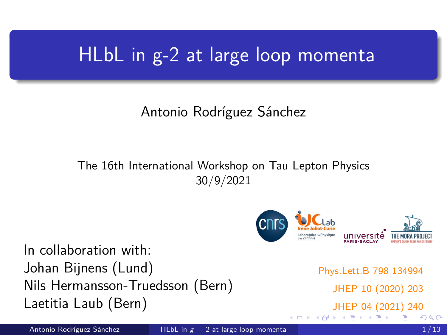### <span id="page-0-0"></span>HLbL in g-2 at large loop momenta

### Antonio Rodríguez Sánchez

The 16th International Workshop on Tau Lepton Physics 30/9/2021



**∢ ロ ▶ - ∢ 母 ▶ - ∢ ヨ** 

In collaboration with: Johan Bijnens (Lund) Nils Hermansson-Truedsson (Bern) Laetitia Laub (Bern)

Phys.Lett.B 798 134994 JHEP 10 (2020) 203 [J](#page-1-0)[HE](#page-0-0)[P 0](#page-12-0)[4 \(](#page-0-0)[20](#page-12-0)[21\)](#page-0-0) [240](#page-12-0)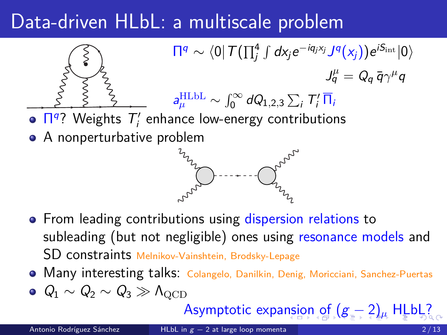## <span id="page-1-0"></span>Data-driven HLbL: a multiscale problem



- From leading contributions using dispersion relations to subleading (but not negligible) ones using resonance models and SD constraints Melnikov-Vainshtein, Brodsky-Lepage
- Many interesting talks: Colangelo, Danilkin, Denig, Moricciani, Sanchez-Puertas
- $Q_1 \sim Q_2 \sim Q_3 \gg \Lambda_{\text{QCD}}$

### Asymptotic expa[ns](#page-0-0)i[on](#page-2-0) [of](#page-1-0)  $(g - 2)_μ$  $(g - 2)_μ$  $(g - 2)_μ$  $(g - 2)_μ$  $(g - 2)_μ$  [H](#page-0-0)[LbL](#page-12-0)?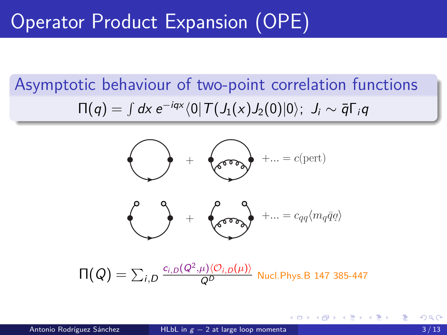## <span id="page-2-0"></span>Operator Product Expansion (OPE)

### Asymptotic behaviour of two-point correlation functions  $\Pi(q)=\int d\mathsf{x}\ e^{-i q \mathsf{x}} \langle 0|\,T\bigl(J_1(\mathsf{x}) J_2(0)|0\rangle;\ \ J_i\sim \bar{q}\Gamma_i q$



イロト イ部 トイヨ トイヨト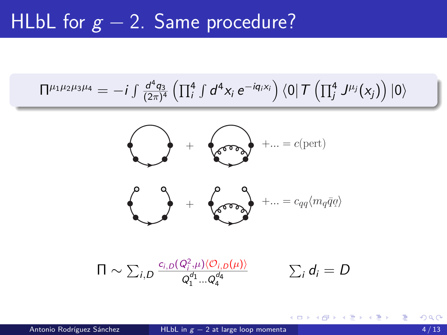### <span id="page-3-0"></span>HLbL for  $g - 2$ . Same procedure?

$$
\Pi^{\mu_1\mu_2\mu_3\mu_4}=-i\int \tfrac{d^4q_3}{(2\pi)^4}\left(\prod_i^4\int d^4x_i\ e^{-i q_i x_i}\right)\left\langle 0\right|T\left(\prod_j^4J^{\mu_j}(x_j)\right)\left|0\right\rangle
$$



$$
\Pi \sim \sum_{i,D} \frac{c_{i,D}(Q_i^2,\mu)\langle O_{i,D}(\mu)\rangle}{Q_1^{d_1}...Q_4^{d_4}} \qquad \sum_i d_i = D
$$

э

メロトメ 倒 トメ ヨ トメ ヨ トー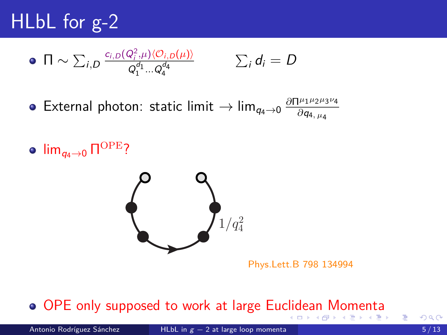# <span id="page-4-0"></span>HLbL for g-2

$$
\bullet \ \ \Pi \sim \sum_{i,D} \frac{c_{i,D}(Q_i^2,\mu) \langle O_{i,D}(\mu) \rangle}{Q_1^{d_1} \dots Q_4^{d_4}} \qquad \qquad \sum_i d_i = D
$$

 $\textsf{External photon: static limit} \rightarrow \lim_{q_4 \rightarrow 0} \frac{\partial \Pi^{\mu_1 \mu_2 \mu_3}}{\partial q_4 \mu_4}$ *∂*Π<sup>μ</sup>1<sup>μ</sup>2<sup>μ</sup>3<sup>μ</sup>4 *∂*q4*, µ*<sup>4</sup>

lim $_{q_4\to 0}$  Π<sup>ΟΡΕ</sup>?



Phys.Lett.B 798 134994

#### OPE only supposed to work at large Eu[clid](#page-3-0)[ea](#page-5-0)[n](#page-3-0)[M](#page-5-0)[o](#page-0-0)[me](#page-12-0)[nt](#page-0-0)[a](#page-12-0) イロト イ押ト イヨト イヨト

э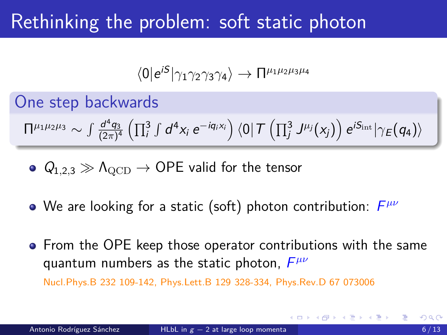### <span id="page-5-0"></span>Rethinking the problem: soft static photon

$$
\langle 0|e^{iS}|\gamma_1\gamma_2\gamma_3\gamma_4\rangle\rightarrow\Pi^{\mu_1\mu_2\mu_3\mu_4}
$$

One step backwards

$$
\Pi^{\mu_1\mu_2\mu_3}\sim \textstyle\int\frac{d^4q_3}{(2\pi)^4}\left(\prod_{i}^3\int d^4x_i\;e^{-iq_i x_i}\right)\langle 0|\,\mathcal{T}\left(\prod_{j}^3\,J^{\mu_j}(x_j)\right)e^{iS_{\rm int}}|\gamma_{\text{E}}\big(q_4\big)\rangle
$$

$$
\bullet \ \ Q_{1,2,3} \gg \Lambda_{\rm QCD} \rightarrow \text{OPE valid for the tensor}
$$

- We are looking for a static (soft) photon contribution:  $F^{\mu\nu}$
- **•** From the OPE keep those operator contributions with the same quantum numbers as the static photon, F *µν*

Nucl.Phys.B 232 109-142, Phys.Lett.B 129 328-334, Phys.Rev.D 67 073006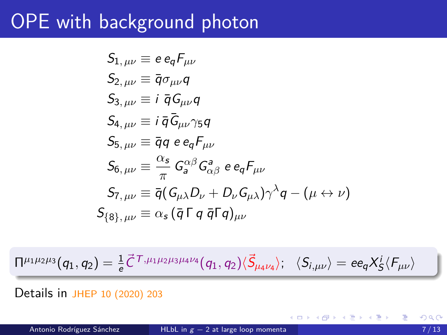### OPE with background photon

$$
S_{1, \mu\nu} \equiv e e_q F_{\mu\nu}
$$
  
\n
$$
S_{2, \mu\nu} \equiv \bar{q} \sigma_{\mu\nu} q
$$
  
\n
$$
S_{3, \mu\nu} \equiv i \bar{q} G_{\mu\nu} q
$$
  
\n
$$
S_{4, \mu\nu} \equiv i \bar{q} G_{\mu\nu} \gamma_5 q
$$
  
\n
$$
S_{5, \mu\nu} \equiv \bar{q} q e e_q F_{\mu\nu}
$$
  
\n
$$
S_{6, \mu\nu} \equiv \frac{\alpha_s}{\pi} G_a^{\alpha\beta} G_{\alpha\beta}^a e e_q F_{\mu\nu}
$$
  
\n
$$
S_{7, \mu\nu} \equiv \bar{q} (G_{\mu\lambda} D_{\nu} + D_{\nu} G_{\mu\lambda}) \gamma^{\lambda} q - (\mu \leftrightarrow \nu)
$$
  
\n
$$
S_{8}, \mu\nu} \equiv \alpha_s (\bar{q} \Gamma q \bar{q} \Gamma q)_{\mu\nu}
$$

$$
\Pi^{\mu_1\mu_2\mu_3}(q_1,q_2)=\tfrac{1}{e}\vec{C}^{\,T,\mu_1\mu_2\mu_3\mu_4\nu_4}(q_1,q_2)\langle\vec{S}_{\mu_4\nu_4}\rangle;\quad \langle S_{i,\mu\nu}\rangle=e\mathsf{e}_q X^i_S\langle F_{\mu\nu}\rangle
$$

Details in JHEP 10 (2020) 203

重

(ロト (個) (ミト (重)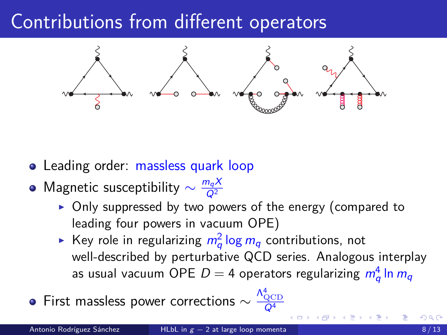### Contributions from different operators



- Leading order: massless quark loop
- Magnetic susceptibility  $\sim \frac{m_q X}{Q^2}$  $Q^2$ 
	- $\triangleright$  Only suppressed by two powers of the energy (compared to leading four powers in vacuum OPE)
	- $\blacktriangleright$  Key role in regularizing  $m_q^2\log m_q$  contributions, not well-described by perturbative QCD series. Analogous interplay as usual vacuum OPE  $D=4$  operators regularizing  $\,m_q^4\,\mathsf{ln}\,m_q\,$

First massless power corrections  $\sim \frac{\Lambda_{\rm QCD}^4}{Q^4}$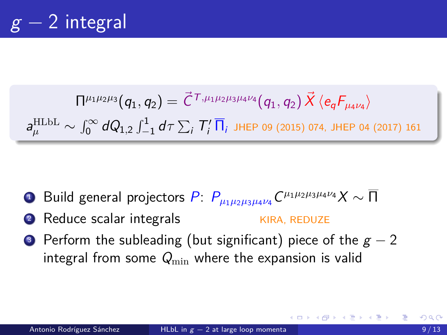$$
\Pi^{\mu_1\mu_2\mu_3}(q_1, q_2) = \vec{C}^{\,T,\mu_1\mu_2\mu_3\mu_4\nu_4}(q_1, q_2) \vec{X} \langle e_q F_{\mu_4\nu_4} \rangle
$$
\n
$$
a_{\mu}^{\text{HLbL}} \sim \int_0^\infty dQ_{1,2} \int_{-1}^1 d\tau \sum_i T'_i \, \overline{\Pi}_i \text{ JHEP 09 (2015) 074, JHEP 04 (2017) 161}
$$

- $\blacksquare$  Build general projectors  $P\colon P_{\mu_1\mu_2\mu_3\mu_4\nu_4}C^{\mu_1\mu_2\mu_3\mu_4\nu_4}X\sim\overline{\Pi}$
- 2 Reduce scalar integrals KIRA, REDUZE
- Perform the subleading (but significant) piece of the  $g 2$ integral from some  $Q_{\min}$  where the expansion is valid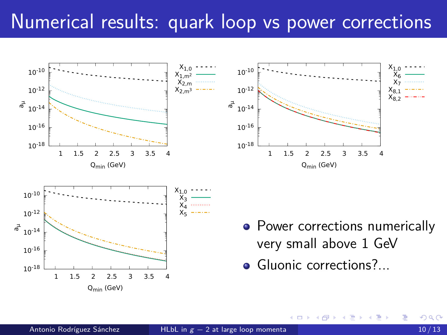### <span id="page-9-0"></span>Numerical results: quark loop vs power corrections

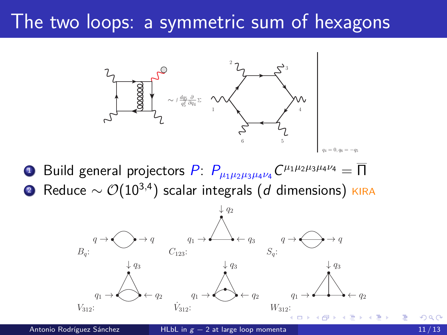### <span id="page-10-0"></span>The two loops: a symmetric sum of hexagons



 $1$  Build general projectors  $P\colon P_{\mu_1\mu_2\mu_3\mu_4\nu_4}C^{\mu_1\mu_2\mu_3\mu_4\nu_4}=\overline{\Pi}$ <sup>2</sup> Reduce ∼ O(10<sup>3</sup>*,*<sup>4</sup> ) scalar integrals (d dimensions) KIRA

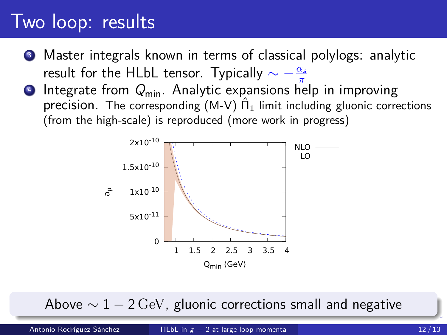### <span id="page-11-0"></span>Two loop: results

- Master integrals known in terms of classical polylogs: analytic result for the HLbL tensor. Typically  $\sim -\frac{\alpha_s}{\pi}$ *π*
- $\bullet$  Integrate from  $Q_{\text{min}}$ . Analytic expansions help in improving precision. The corresponding  $(M-V)$   $\hat{\Pi}_1$  limit including gluonic corrections (from the high-scale) is reproduced (more work in progress)



Abo[ve](#page-0-0)  $\sim 1 - 2 \,\text{GeV}$ , gluonic corrections [s](#page-10-0)[ma](#page-12-0)[ll](#page-10-0) [a](#page-11-0)[n](#page-12-0)[d](#page-0-0) [ne](#page-12-0)[ga](#page-0-0)[ti](#page-12-0)ve